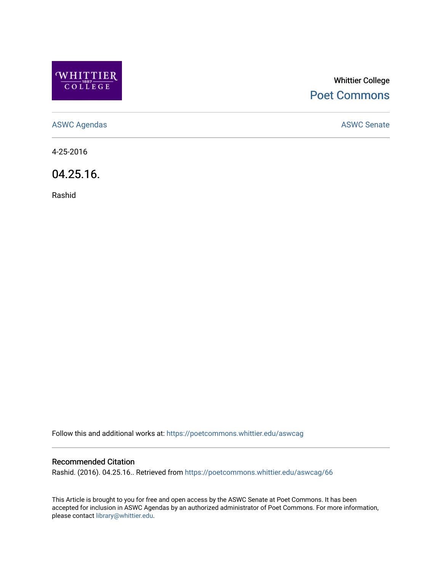

# Whittier College [Poet Commons](https://poetcommons.whittier.edu/)

[ASWC Agendas](https://poetcommons.whittier.edu/aswcag) **ASWC Senate** 

4-25-2016

04.25.16.

Rashid

Follow this and additional works at: [https://poetcommons.whittier.edu/aswcag](https://poetcommons.whittier.edu/aswcag?utm_source=poetcommons.whittier.edu%2Faswcag%2F66&utm_medium=PDF&utm_campaign=PDFCoverPages) 

## Recommended Citation

Rashid. (2016). 04.25.16.. Retrieved from [https://poetcommons.whittier.edu/aswcag/66](https://poetcommons.whittier.edu/aswcag/66?utm_source=poetcommons.whittier.edu%2Faswcag%2F66&utm_medium=PDF&utm_campaign=PDFCoverPages)

This Article is brought to you for free and open access by the ASWC Senate at Poet Commons. It has been accepted for inclusion in ASWC Agendas by an authorized administrator of Poet Commons. For more information, please contact [library@whittier.edu](mailto:library@whittier.edu).